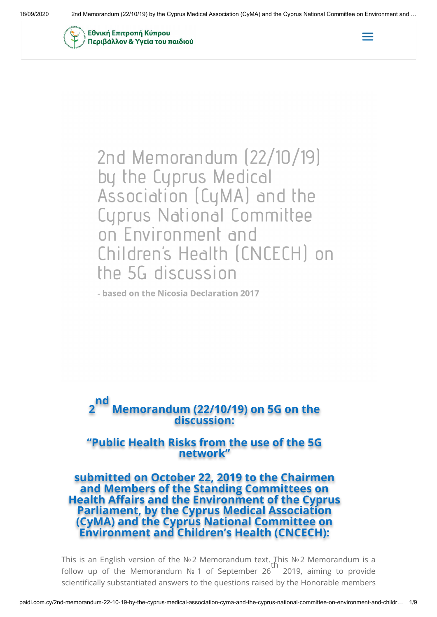



2nd Memorandum (22/10/19) by the Cyprus Medical Association (CyMA) and the Cyprus National Committee on Environment and Children's Health (CNCECH) on the 5G discussion

- based on the Nicosia Declaration 2017



# **"Public Health Risks from the use of the 5G network"**

**submitted on October 22, 2019 to the Chairmen and Members of the Standing Committees on Health Affairs and the Environment of the Cyprus Parliament, by the Cyprus Medical Association (CyMA) and the Cyprus National Committee on Environment and Children's Health (CNCECH):**

This is an English version of the №2 Memorandum text. This №2 Memorandum is a follow up of the Memorandum № 1 of September 26 2019, aiming to provide scientifically substantiated answers to the questions raised by the Honorable members th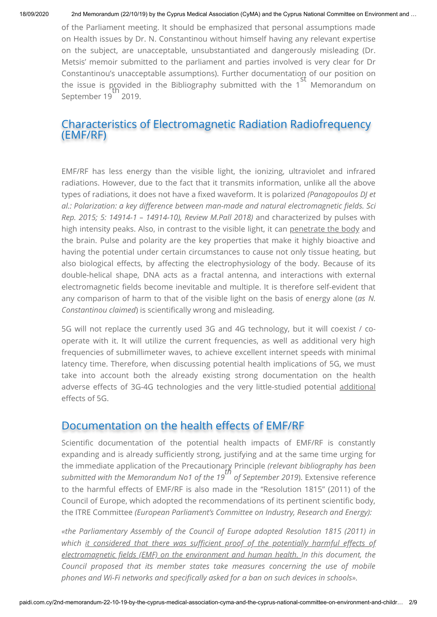of the Parliament meeting. It should be emphasized that personal assumptions made on Health issues by Dr. N. Constantinou without himself having any relevant expertise on the subject, are unacceptable, unsubstantiated and dangerously misleading (Dr. Metsis' memoir submitted to the parliament and parties involved is very clear for Dr Constantinou's unacceptable assumptions). Further documentation of our position on the issue is provided in the Bibliography submitted with the 1<sup>-</sup> Memorandum on September 19<sup>11</sup> 2019. st th

# Characteristics of Electromagnetic Radiation Radiofrequency (EMF/RF)

EMF/RF has less energy than the visible light, the ionizing, ultraviolet and infrared radiations. However, due to the fact that it transmits information, unlike all the above types of radiations, it does not have a fixed waveform. It is polarized *(Panagopoulos DJ et al.: Polarization: a key difference between man-made and natural electromagnetic fields. Sci Rep. 2015; 5: 14914-1 – 14914-10), Review M.Pall 2018)* and characterized by pulses with high intensity peaks. Also, in contrast to the visible light, it can penetrate the body and the brain. Pulse and polarity are the key properties that make it highly bioactive and having the potential under certain circumstances to cause not only tissue heating, but also biological effects, by affecting the electrophysiology of the body. Because of its double-helical shape, DNA acts as a fractal antenna, and interactions with external electromagnetic fields become inevitable and multiple. It is therefore self-evident that any comparison of harm to that of the visible light on the basis of energy alone (*as N. Constantinou claimed*) is scientifically wrong and misleading.

5G will not replace the currently used 3G and 4G technology, but it will coexist / cooperate with it. It will utilize the current frequencies, as well as additional very high frequencies of submillimeter waves, to achieve excellent internet speeds with minimal latency time. Therefore, when discussing potential health implications of 5G, we must take into account both the already existing strong documentation on the health adverse effects of 3G-4G technologies and the very little-studied potential additional effects of 5G.

# Documentation on the health effects of EMF/RF

Scientific documentation of the potential health impacts of EMF/RF is constantly expanding and is already sufficiently strong, justifying and at the same time urging for the immediate application of the Precautionary Principle *(relevant bibliography has been submitted with the Memorandum No1 of the 19 of September 2019*). Extensive reference to the harmful effects of EMF/RF is also made in the "Resolution 1815" (2011) of the Council of Europe, which adopted the recommendations of its pertinent scientific body, the ITRE Committee *(European Parliament's Committee on Industry, Research and Energy): th*

*«the Parliamentary Assembly of the Council of Europe adopted Resolution 1815 (2011) in* which it considered that there was sufficient proof of the potentially harmful effects of *electromagnetic fields (EMF) on the environment and human health. In this document, the Council proposed that its member states take measures concerning the use of mobile* phones and Wi-Fi networks and specifically asked for a ban on such devices in schools».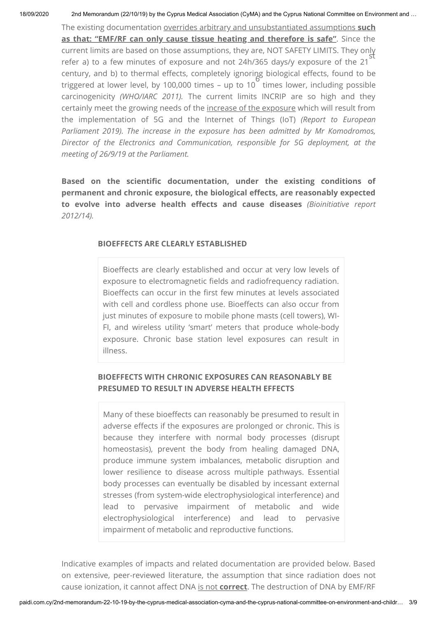18/09/2020 2nd Memorandum (22/10/19) by the Cyprus Medical Association (CyMA) and the Cyprus National Committee on Environment and …

The existing documentation overrides arbitrary and unsubstantiated assumptions **such as that: "EMF/RF can only cause tissue heating and therefore is safe"**. Since the current limits are based on those assumptions, they are, NOT SAFETY LIMITS. They only st refer a) to a few minutes of exposure and not 24h/365 days/y exposure of the 21 century, and b) to thermal effects, completely ignoring biological effects, found to be triggered at lower level, by 100,000 times – up to 10<sup>+</sup> times lower, including possible carcinogenicity *(WHO/IARC 2011).* The current limits INCRIP are so high and they certainly meet the growing needs of the increase of the exposure which will result from the implementation of 5G and the Internet of Things (IoT) *(Report to European Parliament 2019). The increase in the exposure has been admitted by Mr Komodromos, Director of the Electronics and Communication, responsible for 5G deployment, at the meeting of 26/9/19 at the Parliament.* 6

**Based on the scientic documentation, under the existing conditions of** permanent and chronic exposure, the biological effects, are reasonably expected **to evolve into adverse health effects and cause diseases** (Bioinitiative report *2012/14).*

### **BIOEFFECTS ARE CLEARLY ESTABLISHED**

Bioeffects are clearly established and occur at very low levels of exposure to electromagnetic fields and radiofrequency radiation. Bioeffects can occur in the first few minutes at levels associated with cell and cordless phone use. Bioeffects can also occur from just minutes of exposure to mobile phone masts (cell towers), WI-FI, and wireless utility 'smart' meters that produce whole-body exposure. Chronic base station level exposures can result in illness.

## **BIOEFFECTS WITH CHRONIC EXPOSURES CAN REASONABLY BE PRESUMED TO RESULT IN ADVERSE HEALTH EFFECTS**

Many of these bioeffects can reasonably be presumed to result in adverse effects if the exposures are prolonged or chronic. This is because they interfere with normal body processes (disrupt homeostasis), prevent the body from healing damaged DNA, produce immune system imbalances, metabolic disruption and lower resilience to disease across multiple pathways. Essential body processes can eventually be disabled by incessant external stresses (from system-wide electrophysiological interference) and lead to pervasive impairment of metabolic and wide electrophysiological interference) and lead to pervasive impairment of metabolic and reproductive functions.

Indicative examples of impacts and related documentation are provided below. Based on extensive, peer-reviewed literature, the assumption that since radiation does not cause ionization, it cannot affect DNA is not **correct**. The destruction of DNA by EMF/RF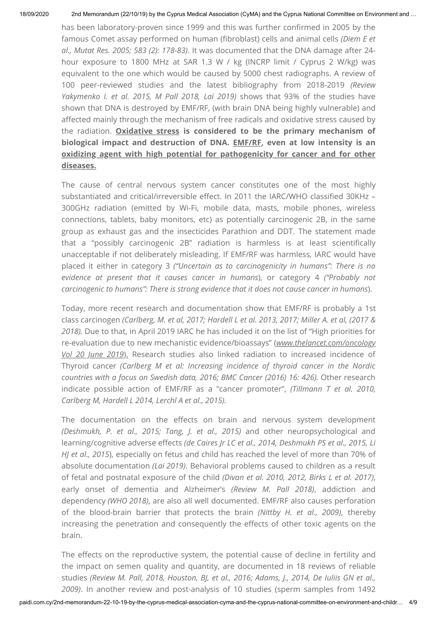has been laboratory-proven since 1999 and this was further confirmed in 2005 by the famous Comet assay performed on human (fibroblast) cells and animal cells *(Diem E et al., Mutat Res. 2005; 583 (2): 178-83)*. It was documented that the DNA damage after 24 hour exposure to 1800 MHz at SAR 1.3 W / kg (INCRP limit / Cyprus 2 W/kg) was equivalent to the one which would be caused by 5000 chest radiographs. A review of 100 peer-reviewed studies and the latest bibliography from 2018-2019 *(Review Yakymenko I. et al. 2015, M Pall 2018, Lai 2019)* shows that 93% of the studies have shown that DNA is destroyed by EMF/RF, (with brain DNA being highly vulnerable) and affected mainly through the mechanism of free radicals and oxidative stress caused by the radiation. **Oxidative stress is considered to be the primary mechanism of biological impact and destruction of DNA. EMF/RF, even at low intensity is an oxidizing agent with high potential for pathogenicity for cancer and for other diseases.**

The cause of central nervous system cancer constitutes one of the most highly substantiated and critical/irreversible effect. In 2011 the IARC/WHO classified 30KHz -300GHz radiation (emitted by Wi-Fi, mobile data, masts, mobile phones, wireless connections, tablets, baby monitors, etc) as potentially carcinogenic 2B, in the same group as exhaust gas and the insecticides Parathion and DDT. The statement made that a "possibly carcinogenic 2B" radiation is harmless is at least scientifically unacceptable if not deliberately misleading. If EMF/RF was harmless, IARC would have placed it either in category 3 *("Uncertain as to carcinogenicity in humans": There is no evidence at present that it causes cancer in humans*), or category 4 *("Probably not carcinogenic to humans": There is strong evidence that it does not cause cancer in humans*).

Today, more recent research and documentation show that EMF/RF is probably a 1st class carcinogen *(Carlberg, M. et al, 2017; Hardell L et al. 2013, 2017; Miller A. et al, (2017 & 2018).* Due to that, in April 2019 IARC he has included it on the list of "High priorities for re-evaluation due to new mechanistic evidence/bioassays" (*www.thelancet.com/oncology Vol 20 June 2019*). Research studies also linked radiation to increased incidence of Thyroid cancer *(Carlberg M et al: Increasing incidence of thyroid cancer in the Nordic countries with a focus on Swedish data, 2016; BMC Cancer (2016) 16: 426).* Other research indicate possible action of EMF/RF as a "cancer promoter", *(Tillmann T et al. 2010, Carlberg M, Hardell L 2014, Lerchl A et al., 2015).*

The documentation on the effects on brain and nervous system development *(Deshmukh, P. et al., 2015; Tang, J. et al., 2015)* and other neuropsychological and learning/cognitive adverse effects *(de Caires Jr LC et al., 2014, Deshmukh PS et al., 2015, Li HJ et al., 2015*), especially on fetus and child has reached the level of more than 70% of absolute documentation *(Lai 2019)*. Behavioral problems caused to children as a result of fetal and postnatal exposure of the child *(Divan et al. 2010, 2012, Birks L et al. 2017)*, early onset of dementia and Alzheimer's *(Review M. Pall 2018)*, addiction and dependency *(WHO 2018)*, are also all well documented. EMF/RF also causes perforation of the blood-brain barrier that protects the brain *(Nittby H. et al., 2009)*, thereby increasing the penetration and consequently the effects of other toxic agents on the brain.

The effects on the reproductive system, the potential cause of decline in fertility and the impact on semen quality and quantity, are documented in 18 reviews of reliable studies *(Review M. Pall, 2018, Houston, BJ, et al., 2016; Adams, J., 2014, De Iuliis GN et al., 2009)*. In another review and post-analysis of 10 studies (sperm samples from 1492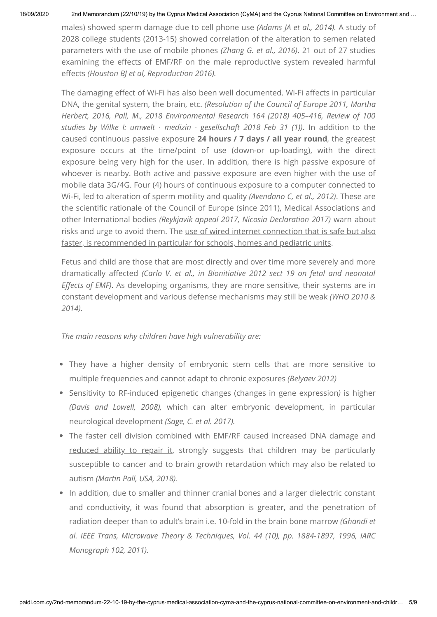males) showed sperm damage due to cell phone use *(Adams JA et al., 2014).* A study of 2028 college students (2013-15) showed correlation of the alteration to semen related parameters with the use of mobile phones *(Zhang G. et al., 2016)*. 21 out of 27 studies examining the effects of EMF/RF on the male reproductive system revealed harmful effects *(Houston BJ et al, Reproduction 2016).* 

The damaging effect of Wi-Fi has also been well documented. Wi-Fi affects in particular DNA, the genital system, the brain, etc. *(Resolution of the Council of Europe 2011, Martha Herbert, 2016, Pall, M., 2018 Environmental Research 164 (2018) 405–416, Review of 100 studies by Wilke I: umwelt ∙ medizin ∙ gesellschaft 2018 Feb 31 (1))*. In addition to the caused continuous passive exposure **24 hours / 7 days / all year round**, the greatest exposure occurs at the time/point of use (down-or up-loading), with the direct exposure being very high for the user. In addition, there is high passive exposure of whoever is nearby. Both active and passive exposure are even higher with the use of mobile data 3G/4G. Four (4) hours of continuous exposure to a computer connected to Wi-Fi, led to alteration of sperm motility and quality *(Avendano C, et al., 2012)*. These are the scientific rationale of the Council of Europe (since 2011), Medical Associations and other International bodies *(Reykjavik appeal 2017, Nicosia Declaration 2017)* warn about risks and urge to avoid them. The use of wired internet connection that is safe but also faster, is recommended in particular for schools, homes and pediatric units.

Fetus and child are those that are most directly and over time more severely and more dramatically affected *(Carlo V. et al., in Bionitiative 2012 sect 19 on fetal and neonatal Effects of EMF)*. As developing organisms, they are more sensitive, their systems are in constant development and various defense mechanisms may still be weak *(WHO 2010 & 2014).*

*The main reasons why children have high vulnerability are:*

- They have a higher density of embryonic stem cells that are more sensitive to multiple frequencies and cannot adapt to chronic exposures *(Belyaev 2012)*
- Sensitivity to RF-induced epigenetic changes (changes in gene expression*)* is higher *(Davis and Lowell, 2008),* which can alter embryonic development, in particular neurological development *(Sage, C. et al. 2017).*
- The faster cell division combined with EMF/RF caused increased DNA damage and reduced ability to repair it, strongly suggests that children may be particularly susceptible to cancer and to brain growth retardation which may also be related to autism *(Martin Pall, USA, 2018).*
- In addition, due to smaller and thinner cranial bones and a larger dielectric constant and conductivity, it was found that absorption is greater, and the penetration of radiation deeper than to adult's brain i.e. 10-fold in the brain bone marrow *(Ghandi et al. IEEE Trans, Microwave Theory & Techniques, Vol. 44 (10), pp. 1884-1897, 1996, IARC Monograph 102, 2011).*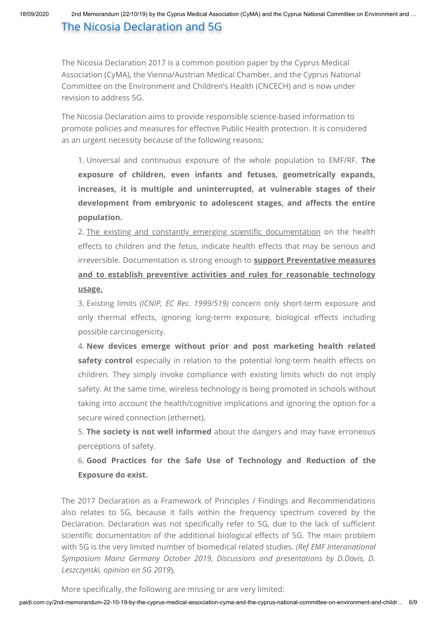# The Nicosia Declaration and 5G

The Nicosia Declaration 2017 is a common position paper by the Cyprus Medical Association (CyMA), the Vienna/Austrian Medical Chamber, and the Cyprus National Committee on the Environment and Children's Health (CNCECH) and is now under revision to address 5G.

The Nicosia Declaration aims to provide responsible science-based information to promote policies and measures for effective Public Health protection. It is considered as an urgent necessity because of the following reasons:

1. Universal and continuous exposure of the whole population to EMF/RF. **The exposure of children, even infants and fetuses, geometrically expands, increases, it is multiple and uninterrupted, at vulnerable stages of their** development from embryonic to adolescent stages, and affects the entire **population.**

2. The existing and constantly emerging scientific documentation on the health effects to children and the fetus, indicate health effects that may be serious and irreversible. Documentation is strong enough to **support Preventative measures and to establish preventive activities and rules for reasonable technology usage.**

3. Existing limits *(ICNIP, EC Rec. 1999/519)* concern only short-term exposure and only thermal effects, ignoring long-term exposure, biological effects including possible carcinogenicity.

4. **New devices emerge without prior and post marketing health related** safety control especially in relation to the potential long-term health effects on children. They simply invoke compliance with existing limits which do not imply safety. At the same time, wireless technology is being promoted in schools without taking into account the health/cognitive implications and ignoring the option for a secure wired connection (ethernet).

5. **The society is not well informed** about the dangers and may have erroneous perceptions of safety.

6. **Good Practices for the Safe Use of Technology and Reduction of the Exposure do exist.**

The 2017 Declaration as a Framework of Principles / Findings and Recommendations also relates to 5G, because it falls within the frequency spectrum covered by the Declaration. Declaration was not specifically refer to 5G, due to the lack of sufficient scientific documentation of the additional biological effects of 5G. The main problem with 5G is the very limited number of biomedical related studies. *(Ref EMF Interanational Symposium Mainz Germany October 2019, Discussions and presentations by D.Davis, D. Leszczynski, opinion on 5G 2019*),

More specifically, the following are missing or are very limited: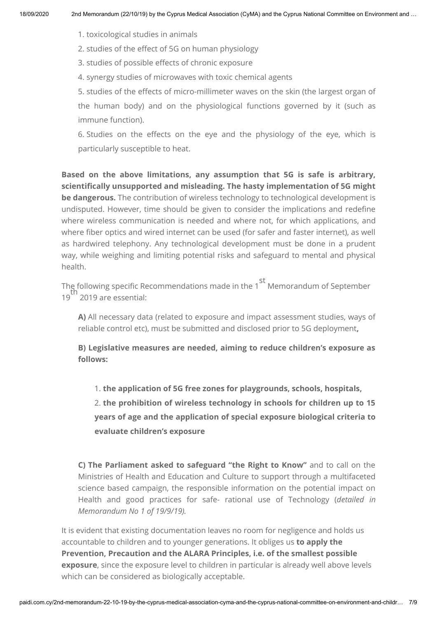- 1. toxicological studies in animals
- 2. studies of the effect of 5G on human physiology
- 3. studies of possible effects of chronic exposure
- 4. synergy studies of microwaves with toxic chemical agents

5. studies of the effects of micro-millimeter waves on the skin (the largest organ of the human body) and on the physiological functions governed by it (such as immune function).

6. Studies on the effects on the eye and the physiology of the eye, which is particularly susceptible to heat.

**Based on the above limitations, any assumption that 5G is safe is arbitrary,** scientifically unsupported and misleading. The hasty implementation of 5G might **be dangerous.** The contribution of wireless technology to technological development is undisputed. However, time should be given to consider the implications and redefine where wireless communication is needed and where not, for which applications, and where fiber optics and wired internet can be used (for safer and faster internet), as well as hardwired telephony. Any technological development must be done in a prudent way, while weighing and limiting potential risks and safeguard to mental and physical health.

The following specific Recommendations made in the 1  $\,$  Memorandum of September 19 2019 are essential: st th

**Α)** All necessary data (related to exposure and impact assessment studies, ways of reliable control etc), must be submitted and disclosed prior to 5G deployment**,**

**Β) Legislative measures are needed, aiming to reduce children's exposure as follows:**

1. **the application of 5G free zones for playgrounds, schools, hospitals,**

2. **the prohibition of wireless technology in schools for children up to 15 years of age and the application of special exposure biological criteria to evaluate children's exposure**

**C) The Parliament asked to safeguard "the Right to Know"** and to call on the Ministries of Health and Education and Culture to support through a multifaceted science based campaign, the responsible information on the potential impact on Health and good practices for safe- rational use of Technology (*detailed in Memorandum No 1 of 19/9/19).*

It is evident that existing documentation leaves no room for negligence and holds us accountable to children and to younger generations. It obliges us **to apply the Prevention, Precaution and the ALARA Principles, i.e. of the smallest possible exposure**, since the exposure level to children in particular is already well above levels which can be considered as biologically acceptable.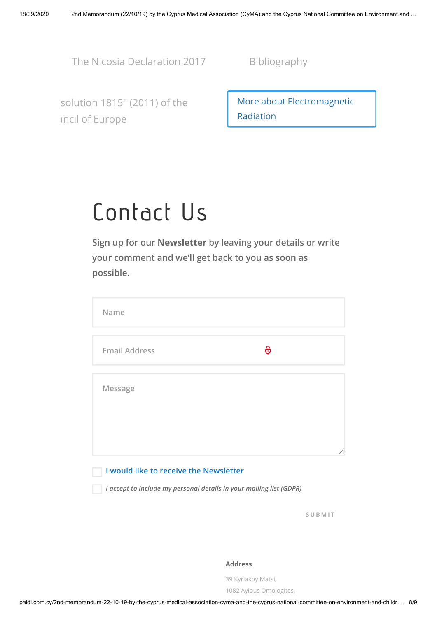[The Nicosia Declaration 2017](http://paidi.com.cy/common-positions-2017-280519/?lang=en) [Bibliography](http://paidi.com.cy/wp-content/uploads/2019/09/R24-%CE%92%CE%B9%CE%B2%CE%BB%CE%B9%CE%BF%CE%B3%CF%81%CE%B1%CF%86%CE%AF%CE%B1-%CF%84%CE%B5%CE%BA%CE%BC%CE%B7%CF%81%CE%AF%CF%89%CF%83%CE%B7%CF%82.pdf)

[solution 1815" \(2011\) of the](https://www.europarl.europa.eu/RegData/etudes/IDAN/2019/631060/IPOL_IDA(2019)631060_EN.pdf) uncil of Europe

[More about Electromagnetic](http://paidi.com.cy/radiation/?lang=en) Radiation

# Contact Us

**Sign up for our Newsletter by leaving your details or write your comment and we'll get back to you as soon as possible.**

| Name                                   |   |  |
|----------------------------------------|---|--|
| <b>Email Address</b>                   | 6 |  |
| Message                                |   |  |
| I would like to receive the Newsletter |   |  |

*I accept to include my personal details in your mailing list (GDPR)*

**S U B M I T**

## **Address**

39 Kyriakoy Matsi,

1082 Ayious Omologites,